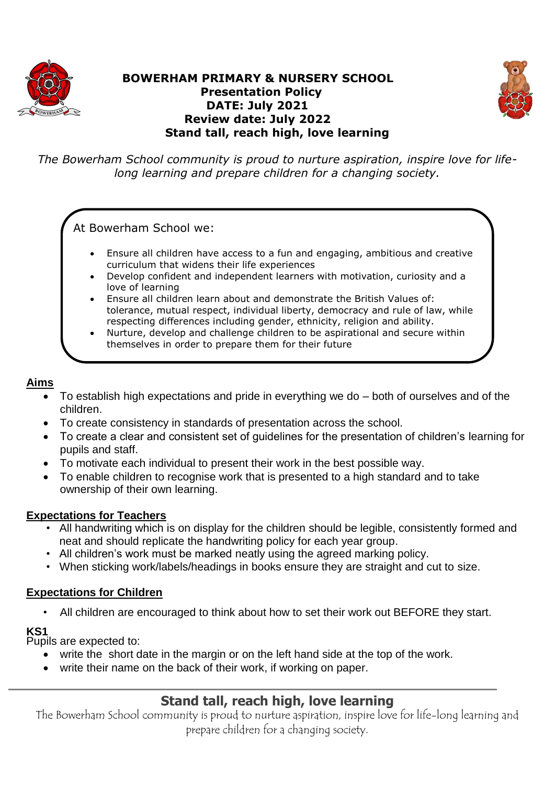

# **BOWERHAM PRIMARY & NURSERY SCHOOL Presentation Policy DATE: July 2021 Review date: July 2022 Stand tall, reach high, love learning**



*The Bowerham School community is proud to nurture aspiration, inspire love for lifelong learning and prepare children for a changing society.*

At Bowerham School we:

- Ensure all children have access to a fun and engaging, ambitious and creative curriculum that widens their life experiences
- Develop confident and independent learners with motivation, curiosity and a love of learning
- Ensure all children learn about and demonstrate the British Values of: tolerance, mutual respect, individual liberty, democracy and rule of law, while respecting differences including gender, ethnicity, religion and ability.
- Nurture, develop and challenge children to be aspirational and secure within themselves in order to prepare them for their future

# **Aims**

- To establish high expectations and pride in everything we do both of ourselves and of the children.
- To create consistency in standards of presentation across the school.
- To create a clear and consistent set of guidelines for the presentation of children's learning for pupils and staff.
- To motivate each individual to present their work in the best possible way.
- To enable children to recognise work that is presented to a high standard and to take ownership of their own learning.

## **Expectations for Teachers**

- All handwriting which is on display for the children should be legible, consistently formed and neat and should replicate the handwriting policy for each year group.
- All children's work must be marked neatly using the agreed marking policy.
- When sticking work/labels/headings in books ensure they are straight and cut to size.

# **Expectations for Children**

All children are encouraged to think about how to set their work out BEFORE they start.

## **KS1**

Pupils are expected to:

- write the short date in the margin or on the left hand side at the top of the work.
- write their name on the back of their work, if working on paper.

# **Stand tall, reach high, love learning**

The Bowerham School community is proud to nurture aspiration, inspire love for life-long learning and prepare children for a changing society.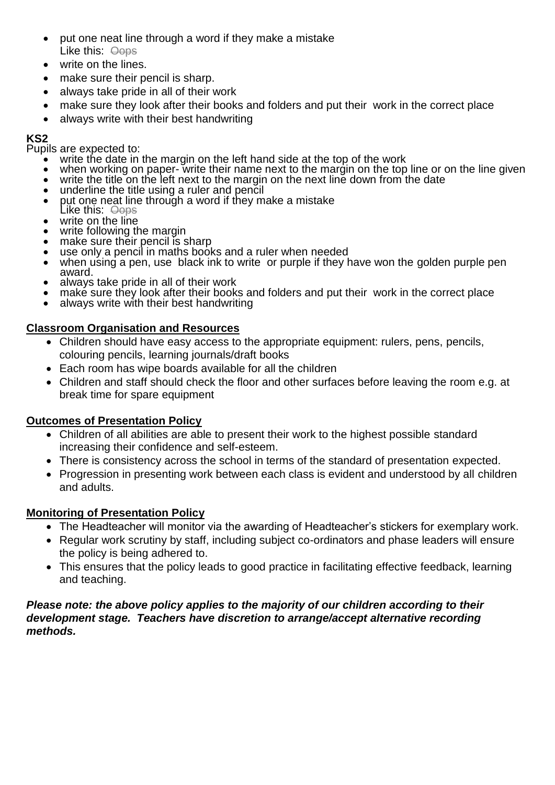- put one neat line through a word if they make a mistake Like this: Oops
- write on the lines.
- make sure their pencil is sharp.
- always take pride in all of their work
- make sure they look after their books and folders and put their work in the correct place
- always write with their best handwriting

#### **KS2**

Pupils are expected to:

- write the date in the margin on the left hand side at the top of the work<br>• when working on paper-write their name next to the margin on the top
- when working on paper- write their name next to the margin on the top line or on the line given write the title on the left next to the margin on the next line down from the date
- write the title on the left next to the margin on the next line down from the date
- underline the title using a ruler and pencil
- put one neat line through a word if they make a mistake
- Like this: <del>Oops</del>
- write on the line
- write following the margin make sure their pencil is sharp
- use only a pencil in maths books and a ruler when needed
- when using a pen, use black ink to write or purple if they have won the golden purple pen award.
- always take pride in all of their work
- make sure they look after their books and folders and put their work in the correct place
- always write with their best handwriting

## **Classroom Organisation and Resources**

- Children should have easy access to the appropriate equipment: rulers, pens, pencils, colouring pencils, learning journals/draft books
- Each room has wipe boards available for all the children
- Children and staff should check the floor and other surfaces before leaving the room e.g. at break time for spare equipment

## **Outcomes of Presentation Policy**

- Children of all abilities are able to present their work to the highest possible standard increasing their confidence and self-esteem.
- There is consistency across the school in terms of the standard of presentation expected.
- Progression in presenting work between each class is evident and understood by all children and adults.

## **Monitoring of Presentation Policy**

- The Headteacher will monitor via the awarding of Headteacher's stickers for exemplary work.
- Regular work scrutiny by staff, including subject co-ordinators and phase leaders will ensure the policy is being adhered to.
- This ensures that the policy leads to good practice in facilitating effective feedback, learning and teaching.

#### *Please note: the above policy applies to the majority of our children according to their development stage. Teachers have discretion to arrange/accept alternative recording methods.*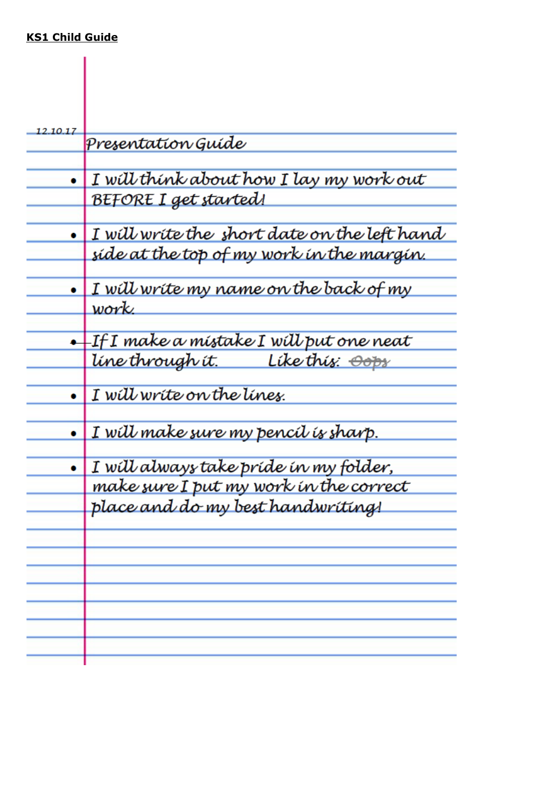# **KS1 Child Guide**

| 12.10.17 | Presentation Guíde                                 |
|----------|----------------------------------------------------|
|          |                                                    |
|          | I will think about how I lay my work out           |
|          | BEFORE I get started!                              |
|          | I will write the short date on the left hand       |
|          | síde at the top of my work ín the margín.          |
|          | I will write my name on the back of my             |
|          | work.                                              |
|          | $+$ If I make a místake I wí $\cal U$ put one neat |
|          | <u>líne through ít. Líke thíz: <del>Oop</del>z</u> |
|          | I will write on the lines.                         |
|          | I will make sure my pencil is sharp.               |
| ۰        | I will always take pride in my folder,             |
|          | make sure I put my work in the correct             |
|          | place and do my best handwriting!                  |
|          |                                                    |
|          |                                                    |
|          |                                                    |
|          |                                                    |
|          |                                                    |
|          |                                                    |